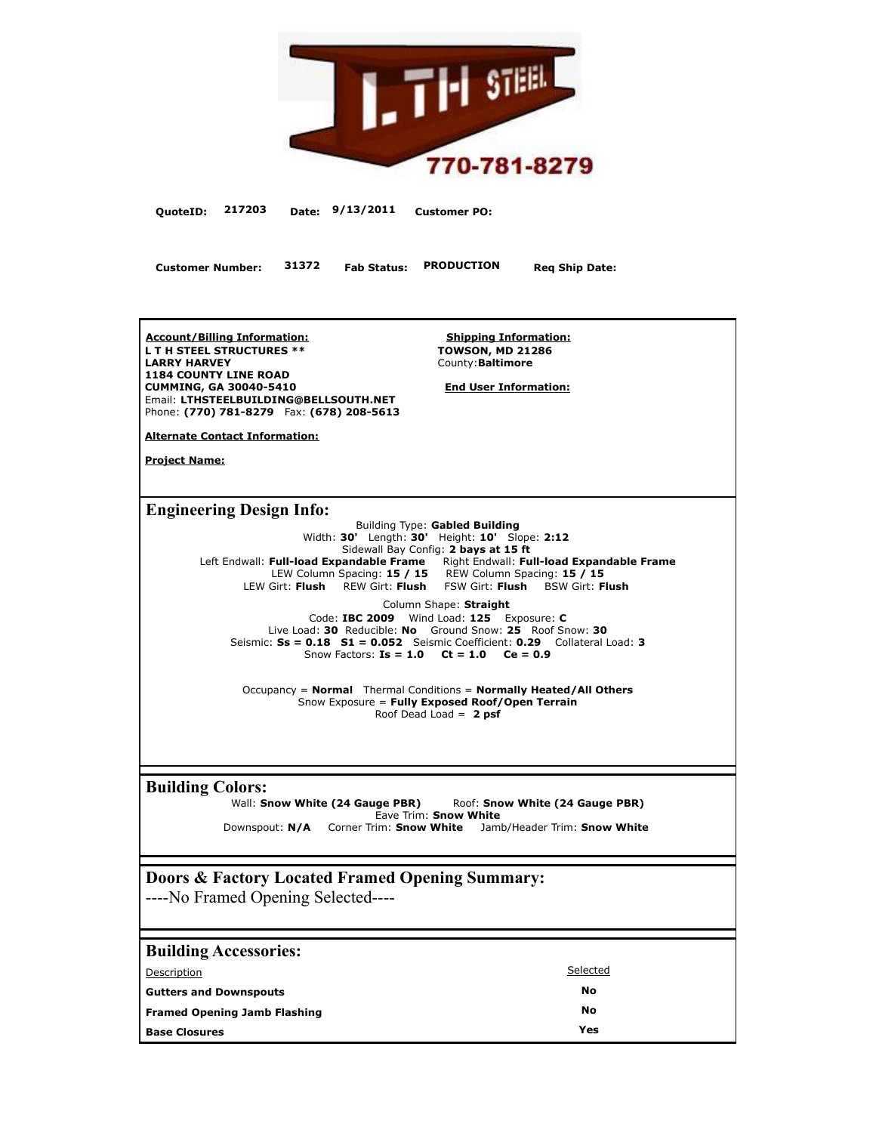

QuoteID: 217203 Date:  $9/13/2011$  Customer PO:

**Customer Number: 31372 Fab Status: PRODUCTION Req Ship Date:**

**Account/Billing Information: L T H STEEL STRUCTURES \*\* LARRY HARVEY 1184 COUNTY LINE ROAD CUMMING, GA 30040-5410** Email: **LTHSTEELBUILDING@BELLSOUTH.NET** Phone: **(770) 781-8279** Fax: **(678) 208-5613**

**Shipping Information: TOWSON, MD 21286** County:**Baltimore**

**End User Information:**

**Alternate Contact Information:**

**Project Name:**

**Engineering Design Info:**

Building Type: **Gabled Building** Width: **30'** Length: **30'** Height: **10'** Slope: **2:12** Sidewall Bay Config: **2 bays at 15 ft**  Left Endwall: Full-load Expandable Frame Right Endwall: Full-load Expandable Frame LEW Column Spacing: **15 / 15** REW Column Spacing: **15 / 15** LEW Girt: **Flush** REW Girt: **Flush** FSW Girt: **Flush** BSW Girt: **Flush**

Column Shape: **Straight** Code: **IBC 2009** Wind Load: **125** Exposure: **C** Live Load: **30** Reducible: **No** Ground Snow: **25** Roof Snow: **30** Seismic: **Ss = 0.18 S1 = 0.052** Seismic Coefficient: **0.29** Collateral Load: **3** Snow Factors: **Is = 1.0 Ct = 1.0 Ce = 0.9**

Occupancy = **Normal** Thermal Conditions = **Normally Heated/All Others** Snow Exposure = **Fully Exposed Roof/Open Terrain** Roof Dead Load = **2 psf**

**Building Colors:**<br>Wall: Snow White (24 Gauge PBR) Wall: **Snow White (24 Gauge PBR)** Roof: **Snow White (24 Gauge PBR)** Eave Trim: **Snow White** Downspout: **N/A** Corner Trim: **Snow White** Jamb/Header Trim: **Snow White**

# **Doors & Factory Located Framed Opening Summary:**

----No Framed Opening Selected----

| <b>Building Accessories:</b>        |          |
|-------------------------------------|----------|
| Description                         | Selected |
| <b>Gutters and Downspouts</b>       | No       |
| <b>Framed Opening Jamb Flashing</b> | No       |
| <b>Base Closures</b>                | Yes      |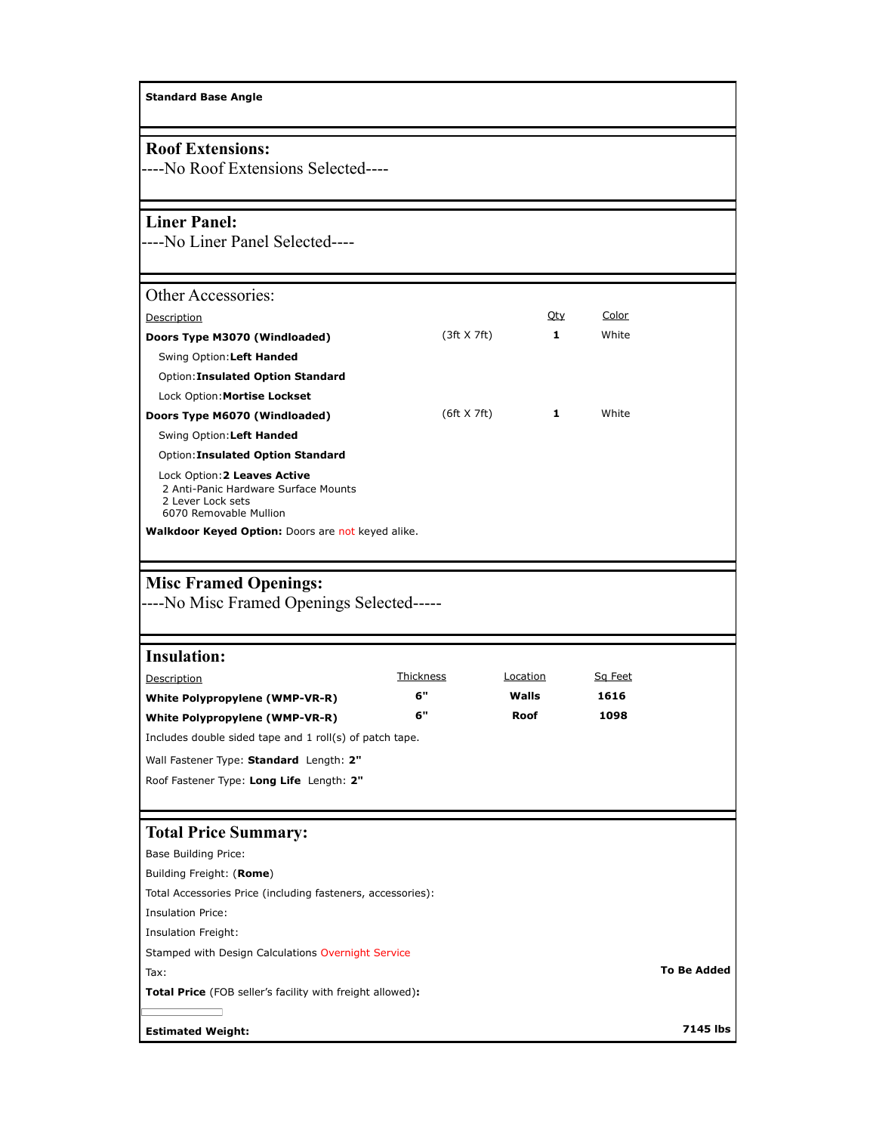**Standard Base Angle**

## **Roof Extensions:**

----No Roof Extensions Selected----

# **Liner Panel:**

----No Liner Panel Selected----

| Other Accessories:                                                                                                  |             |     |       |
|---------------------------------------------------------------------------------------------------------------------|-------------|-----|-------|
| Description                                                                                                         |             | Qty | Color |
| Doors Type M3070 (Windloaded)                                                                                       | (3ft X 7ft) | 1   | White |
| Swing Option: Left Handed                                                                                           |             |     |       |
| <b>Option: Insulated Option Standard</b>                                                                            |             |     |       |
| Lock Option: Mortise Lockset                                                                                        |             |     |       |
| Doors Type M6070 (Windloaded)                                                                                       | (6ft X 7ft) | 1   | White |
| Swing Option: Left Handed                                                                                           |             |     |       |
| Option: Insulated Option Standard                                                                                   |             |     |       |
| Lock Option: 2 Leaves Active<br>2 Anti-Panic Hardware Surface Mounts<br>2 Lever Lock sets<br>6070 Removable Mullion |             |     |       |

**Walkdoor Keyed Option:** Doors are not keyed alike.

# **Misc Framed Openings:**

----No Misc Framed Openings Selected-----

## **Insulation:**

| Description                    | Thickness | Location | Sq Feet |
|--------------------------------|-----------|----------|---------|
| White Polypropylene (WMP-VR-R) | 6"        | Walls    | 1616    |
| White Polypropylene (WMP-VR-R) | 6"        | Roof     | 1098    |
| _ _ _ _ _ _ _ _ _ _ _          |           |          |         |

Includes double sided tape and 1 roll(s) of patch tape.

Wall Fastener Type: **Standard** Length: **2"**

Roof Fastener Type: **Long Life** Length: **2"**

# **Total Price Summary:**

| Base Building Price:                                             |                    |
|------------------------------------------------------------------|--------------------|
| Building Freight: (Rome)                                         |                    |
| Total Accessories Price (including fasteners, accessories):      |                    |
| Insulation Price:                                                |                    |
| Insulation Freight:                                              |                    |
| Stamped with Design Calculations Overnight Service               |                    |
| Tax:                                                             | <b>To Be Added</b> |
| <b>Total Price</b> (FOB seller's facility with freight allowed): |                    |
|                                                                  |                    |
| <b>Estimated Weight:</b>                                         | 7145 lbs           |